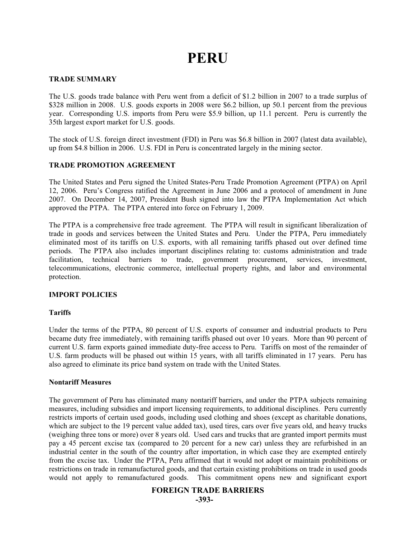# **PERU**

## **TRADE SUMMARY**

The U.S. goods trade balance with Peru went from a deficit of \$1.2 billion in 2007 to a trade surplus of \$328 million in 2008. U.S. goods exports in 2008 were \$6.2 billion, up 50.1 percent from the previous year. Corresponding U.S. imports from Peru were \$5.9 billion, up 11.1 percent. Peru is currently the 35th largest export market for U.S. goods.

The stock of U.S. foreign direct investment (FDI) in Peru was \$6.8 billion in 2007 (latest data available), up from \$4.8 billion in 2006. U.S. FDI in Peru is concentrated largely in the mining sector.

# **TRADE PROMOTION AGREEMENT**

The United States and Peru signed the United States-Peru Trade Promotion Agreement (PTPA) on April 12, 2006. Peru's Congress ratified the Agreement in June 2006 and a protocol of amendment in June 2007. On December 14, 2007, President Bush signed into law the PTPA Implementation Act which approved the PTPA. The PTPA entered into force on February 1, 2009.

The PTPA is a comprehensive free trade agreement. The PTPA will result in significant liberalization of trade in goods and services between the United States and Peru. Under the PTPA, Peru immediately eliminated most of its tariffs on U.S. exports, with all remaining tariffs phased out over defined time periods. The PTPA also includes important disciplines relating to: customs administration and trade facilitation, technical barriers to trade, government procurement, services, investment, telecommunications, electronic commerce, intellectual property rights, and labor and environmental protection.

## **IMPORT POLICIES**

## **Tariffs**

Under the terms of the PTPA, 80 percent of U.S. exports of consumer and industrial products to Peru became duty free immediately, with remaining tariffs phased out over 10 years. More than 90 percent of current U.S. farm exports gained immediate duty-free access to Peru. Tariffs on most of the remainder of U.S. farm products will be phased out within 15 years, with all tariffs eliminated in 17 years. Peru has also agreed to eliminate its price band system on trade with the United States.

## **Nontariff Measures**

The government of Peru has eliminated many nontariff barriers, and under the PTPA subjects remaining measures, including subsidies and import licensing requirements, to additional disciplines. Peru currently restricts imports of certain used goods, including used clothing and shoes (except as charitable donations, which are subject to the 19 percent value added tax), used tires, cars over five years old, and heavy trucks (weighing three tons or more) over 8 years old. Used cars and trucks that are granted import permits must pay a 45 percent excise tax (compared to 20 percent for a new car) unless they are refurbished in an industrial center in the south of the country after importation, in which case they are exempted entirely from the excise tax. Under the PTPA, Peru affirmed that it would not adopt or maintain prohibitions or restrictions on trade in remanufactured goods, and that certain existing prohibitions on trade in used goods would not apply to remanufactured goods. This commitment opens new and significant export

# **FOREIGN TRADE BARRIERS**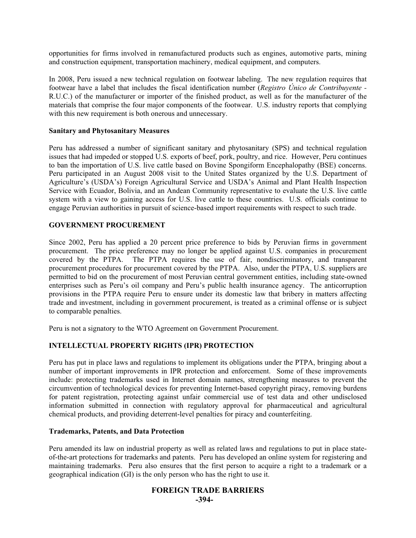opportunities for firms involved in remanufactured products such as engines, automotive parts, mining and construction equipment, transportation machinery, medical equipment, and computers.

In 2008, Peru issued a new technical regulation on footwear labeling. The new regulation requires that footwear have a label that includes the fiscal identification number (*Registro Único de Contribuyente -* R.U.C.) of the manufacturer or importer of the finished product, as well as for the manufacturer of the materials that comprise the four major components of the footwear. U.S. industry reports that complying with this new requirement is both onerous and unnecessary.

#### **Sanitary and Phytosanitary Measures**

Peru has addressed a number of significant sanitary and phytosanitary (SPS) and technical regulation issues that had impeded or stopped U.S. exports of beef, pork, poultry, and rice. However, Peru continues to ban the importation of U.S. live cattle based on Bovine Spongiform Encephalopathy (BSE) concerns. Peru participated in an August 2008 visit to the United States organized by the U.S. Department of Agriculture's (USDA's) Foreign Agricultural Service and USDA's Animal and Plant Health Inspection Service with Ecuador, Bolivia, and an Andean Community representative to evaluate the U.S. live cattle system with a view to gaining access for U.S. live cattle to these countries. U.S. officials continue to engage Peruvian authorities in pursuit of science-based import requirements with respect to such trade.

#### **GOVERNMENT PROCUREMENT**

Since 2002, Peru has applied a 20 percent price preference to bids by Peruvian firms in government procurement. The price preference may no longer be applied against U.S. companies in procurement covered by the PTPA. The PTPA requires the use of fair, nondiscriminatory, and transparent procurement procedures for procurement covered by the PTPA. Also, under the PTPA, U.S. suppliers are permitted to bid on the procurement of most Peruvian central government entities, including state-owned enterprises such as Peru's oil company and Peru's public health insurance agency. The anticorruption provisions in the PTPA require Peru to ensure under its domestic law that bribery in matters affecting trade and investment, including in government procurement, is treated as a criminal offense or is subject to comparable penalties.

Peru is not a signatory to the WTO Agreement on Government Procurement.

# **INTELLECTUAL PROPERTY RIGHTS (IPR) PROTECTION**

Peru has put in place laws and regulations to implement its obligations under the PTPA, bringing about a number of important improvements in IPR protection and enforcement. Some of these improvements include: protecting trademarks used in Internet domain names, strengthening measures to prevent the circumvention of technological devices for preventing Internet-based copyright piracy, removing burdens for patent registration, protecting against unfair commercial use of test data and other undisclosed information submitted in connection with regulatory approval for pharmaceutical and agricultural chemical products, and providing deterrent-level penalties for piracy and counterfeiting.

#### **Trademarks, Patents, and Data Protection**

Peru amended its law on industrial property as well as related laws and regulations to put in place stateof-the-art protections for trademarks and patents. Peru has developed an online system for registering and maintaining trademarks. Peru also ensures that the first person to acquire a right to a trademark or a geographical indication (GI) is the only person who has the right to use it.

#### **FOREIGN TRADE BARRIERS -394-**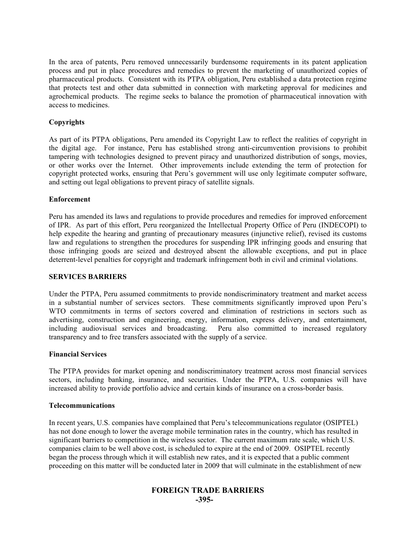In the area of patents, Peru removed unnecessarily burdensome requirements in its patent application process and put in place procedures and remedies to prevent the marketing of unauthorized copies of pharmaceutical products. Consistent with its PTPA obligation, Peru established a data protection regime that protects test and other data submitted in connection with marketing approval for medicines and agrochemical products. The regime seeks to balance the promotion of pharmaceutical innovation with access to medicines.

# **Copyrights**

As part of its PTPA obligations, Peru amended its Copyright Law to reflect the realities of copyright in the digital age. For instance, Peru has established strong anti-circumvention provisions to prohibit tampering with technologies designed to prevent piracy and unauthorized distribution of songs, movies, or other works over the Internet. Other improvements include extending the term of protection for copyright protected works, ensuring that Peru's government will use only legitimate computer software, and setting out legal obligations to prevent piracy of satellite signals.

## **Enforcement**

Peru has amended its laws and regulations to provide procedures and remedies for improved enforcement of IPR. As part of this effort, Peru reorganized the Intellectual Property Office of Peru (INDECOPI) to help expedite the hearing and granting of precautionary measures (injunctive relief), revised its customs law and regulations to strengthen the procedures for suspending IPR infringing goods and ensuring that those infringing goods are seized and destroyed absent the allowable exceptions, and put in place deterrent-level penalties for copyright and trademark infringement both in civil and criminal violations.

# **SERVICES BARRIERS**

Under the PTPA, Peru assumed commitments to provide nondiscriminatory treatment and market access in a substantial number of services sectors. These commitments significantly improved upon Peru's WTO commitments in terms of sectors covered and elimination of restrictions in sectors such as advertising, construction and engineering, energy, information, express delivery, and entertainment, including audiovisual services and broadcasting. Peru also committed to increased regulatory transparency and to free transfers associated with the supply of a service.

#### **Financial Services**

The PTPA provides for market opening and nondiscriminatory treatment across most financial services sectors, including banking, insurance, and securities. Under the PTPA, U.S. companies will have increased ability to provide portfolio advice and certain kinds of insurance on a cross-border basis.

#### **Telecommunications**

In recent years, U.S. companies have complained that Peru's telecommunications regulator (OSIPTEL) has not done enough to lower the average mobile termination rates in the country, which has resulted in significant barriers to competition in the wireless sector. The current maximum rate scale, which U.S. companies claim to be well above cost, is scheduled to expire at the end of 2009. OSIPTEL recently began the process through which it will establish new rates, and it is expected that a public comment proceeding on this matter will be conducted later in 2009 that will culminate in the establishment of new

# **FOREIGN TRADE BARRIERS -395-**